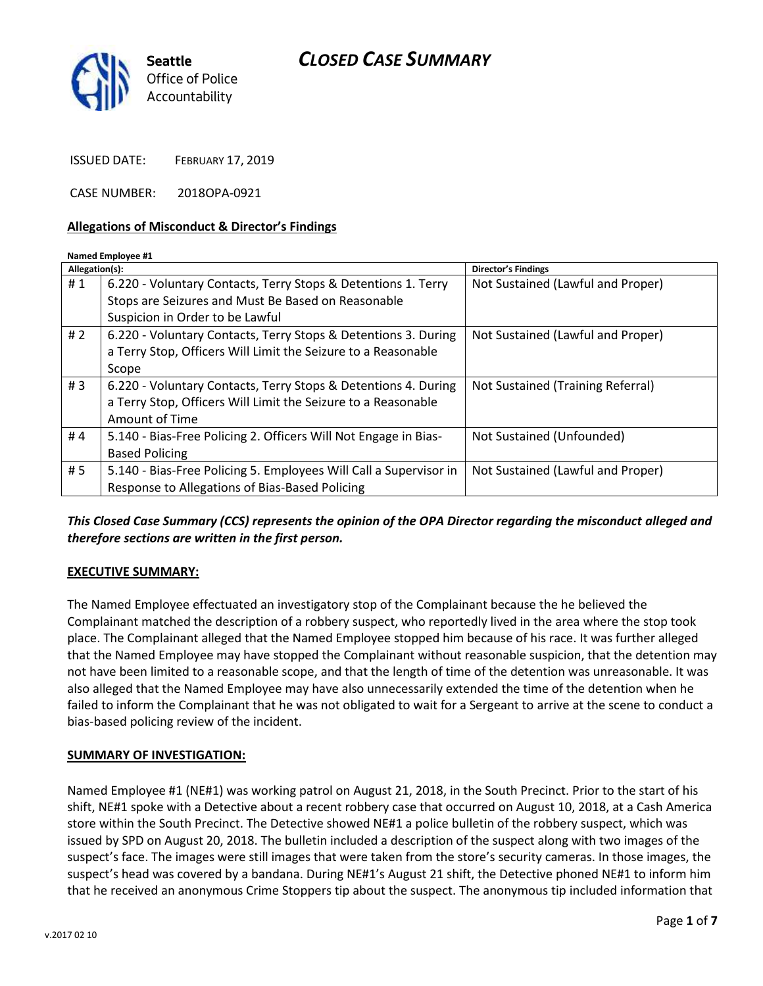# *CLOSED CASE SUMMARY*



ISSUED DATE: FEBRUARY 17, 2019

CASE NUMBER: 2018OPA-0921

### **Allegations of Misconduct & Director's Findings**

#### **Named Employee #1**

| Allegation(s): |                                                                   | <b>Director's Findings</b>        |
|----------------|-------------------------------------------------------------------|-----------------------------------|
| #1             | 6.220 - Voluntary Contacts, Terry Stops & Detentions 1. Terry     | Not Sustained (Lawful and Proper) |
|                | Stops are Seizures and Must Be Based on Reasonable                |                                   |
|                | Suspicion in Order to be Lawful                                   |                                   |
| # $2$          | 6.220 - Voluntary Contacts, Terry Stops & Detentions 3. During    | Not Sustained (Lawful and Proper) |
|                | a Terry Stop, Officers Will Limit the Seizure to a Reasonable     |                                   |
|                | Scope                                                             |                                   |
| #3             | 6.220 - Voluntary Contacts, Terry Stops & Detentions 4. During    | Not Sustained (Training Referral) |
|                | a Terry Stop, Officers Will Limit the Seizure to a Reasonable     |                                   |
|                | Amount of Time                                                    |                                   |
| #4             | 5.140 - Bias-Free Policing 2. Officers Will Not Engage in Bias-   | Not Sustained (Unfounded)         |
|                | <b>Based Policing</b>                                             |                                   |
| #5             | 5.140 - Bias-Free Policing 5. Employees Will Call a Supervisor in | Not Sustained (Lawful and Proper) |
|                | Response to Allegations of Bias-Based Policing                    |                                   |

## *This Closed Case Summary (CCS) represents the opinion of the OPA Director regarding the misconduct alleged and therefore sections are written in the first person.*

### **EXECUTIVE SUMMARY:**

The Named Employee effectuated an investigatory stop of the Complainant because the he believed the Complainant matched the description of a robbery suspect, who reportedly lived in the area where the stop took place. The Complainant alleged that the Named Employee stopped him because of his race. It was further alleged that the Named Employee may have stopped the Complainant without reasonable suspicion, that the detention may not have been limited to a reasonable scope, and that the length of time of the detention was unreasonable. It was also alleged that the Named Employee may have also unnecessarily extended the time of the detention when he failed to inform the Complainant that he was not obligated to wait for a Sergeant to arrive at the scene to conduct a bias-based policing review of the incident.

### **SUMMARY OF INVESTIGATION:**

Named Employee #1 (NE#1) was working patrol on August 21, 2018, in the South Precinct. Prior to the start of his shift, NE#1 spoke with a Detective about a recent robbery case that occurred on August 10, 2018, at a Cash America store within the South Precinct. The Detective showed NE#1 a police bulletin of the robbery suspect, which was issued by SPD on August 20, 2018. The bulletin included a description of the suspect along with two images of the suspect's face. The images were still images that were taken from the store's security cameras. In those images, the suspect's head was covered by a bandana. During NE#1's August 21 shift, the Detective phoned NE#1 to inform him that he received an anonymous Crime Stoppers tip about the suspect. The anonymous tip included information that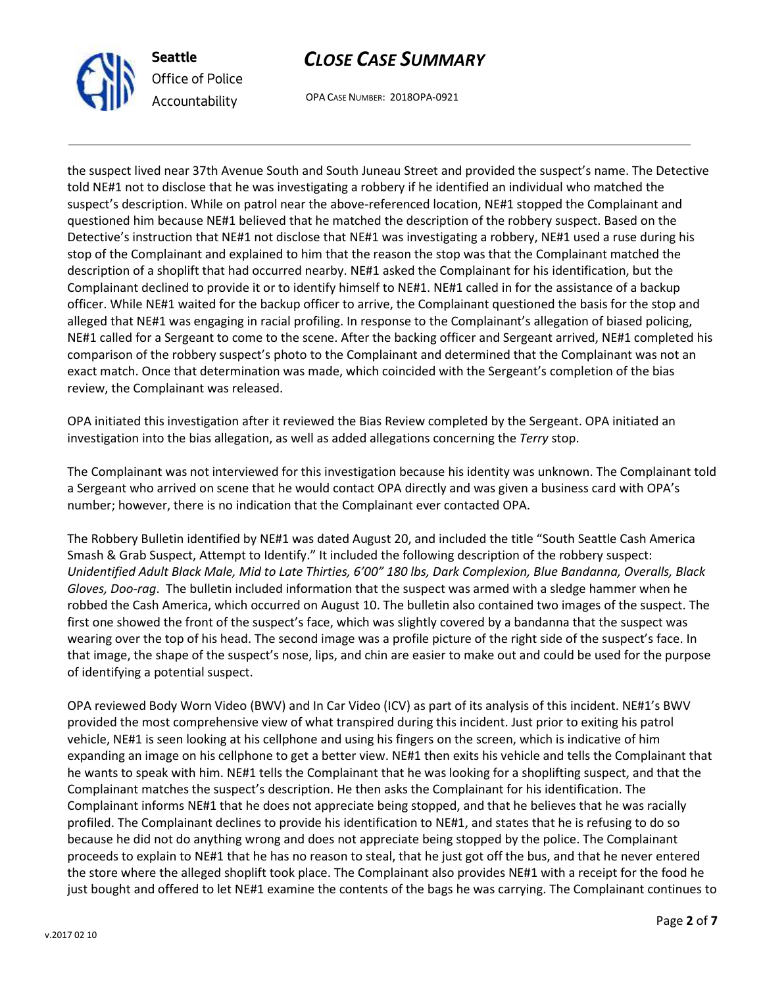

**Seattle** *Office of Police Accountability*

# *CLOSE CASE SUMMARY*

OPA CASE NUMBER: 2018OPA-0921

the suspect lived near 37th Avenue South and South Juneau Street and provided the suspect's name. The Detective told NE#1 not to disclose that he was investigating a robbery if he identified an individual who matched the suspect's description. While on patrol near the above-referenced location, NE#1 stopped the Complainant and questioned him because NE#1 believed that he matched the description of the robbery suspect. Based on the Detective's instruction that NE#1 not disclose that NE#1 was investigating a robbery, NE#1 used a ruse during his stop of the Complainant and explained to him that the reason the stop was that the Complainant matched the description of a shoplift that had occurred nearby. NE#1 asked the Complainant for his identification, but the Complainant declined to provide it or to identify himself to NE#1. NE#1 called in for the assistance of a backup officer. While NE#1 waited for the backup officer to arrive, the Complainant questioned the basis for the stop and alleged that NE#1 was engaging in racial profiling. In response to the Complainant's allegation of biased policing, NE#1 called for a Sergeant to come to the scene. After the backing officer and Sergeant arrived, NE#1 completed his comparison of the robbery suspect's photo to the Complainant and determined that the Complainant was not an exact match. Once that determination was made, which coincided with the Sergeant's completion of the bias review, the Complainant was released.

OPA initiated this investigation after it reviewed the Bias Review completed by the Sergeant. OPA initiated an investigation into the bias allegation, as well as added allegations concerning the *Terry* stop.

The Complainant was not interviewed for this investigation because his identity was unknown. The Complainant told a Sergeant who arrived on scene that he would contact OPA directly and was given a business card with OPA's number; however, there is no indication that the Complainant ever contacted OPA.

The Robbery Bulletin identified by NE#1 was dated August 20, and included the title "South Seattle Cash America Smash & Grab Suspect, Attempt to Identify." It included the following description of the robbery suspect: *Unidentified Adult Black Male, Mid to Late Thirties, 6'00" 180 lbs, Dark Complexion, Blue Bandanna, Overalls, Black Gloves, Doo-rag*. The bulletin included information that the suspect was armed with a sledge hammer when he robbed the Cash America, which occurred on August 10. The bulletin also contained two images of the suspect. The first one showed the front of the suspect's face, which was slightly covered by a bandanna that the suspect was wearing over the top of his head. The second image was a profile picture of the right side of the suspect's face. In that image, the shape of the suspect's nose, lips, and chin are easier to make out and could be used for the purpose of identifying a potential suspect.

OPA reviewed Body Worn Video (BWV) and In Car Video (ICV) as part of its analysis of this incident. NE#1's BWV provided the most comprehensive view of what transpired during this incident. Just prior to exiting his patrol vehicle, NE#1 is seen looking at his cellphone and using his fingers on the screen, which is indicative of him expanding an image on his cellphone to get a better view. NE#1 then exits his vehicle and tells the Complainant that he wants to speak with him. NE#1 tells the Complainant that he was looking for a shoplifting suspect, and that the Complainant matches the suspect's description. He then asks the Complainant for his identification. The Complainant informs NE#1 that he does not appreciate being stopped, and that he believes that he was racially profiled. The Complainant declines to provide his identification to NE#1, and states that he is refusing to do so because he did not do anything wrong and does not appreciate being stopped by the police. The Complainant proceeds to explain to NE#1 that he has no reason to steal, that he just got off the bus, and that he never entered the store where the alleged shoplift took place. The Complainant also provides NE#1 with a receipt for the food he just bought and offered to let NE#1 examine the contents of the bags he was carrying. The Complainant continues to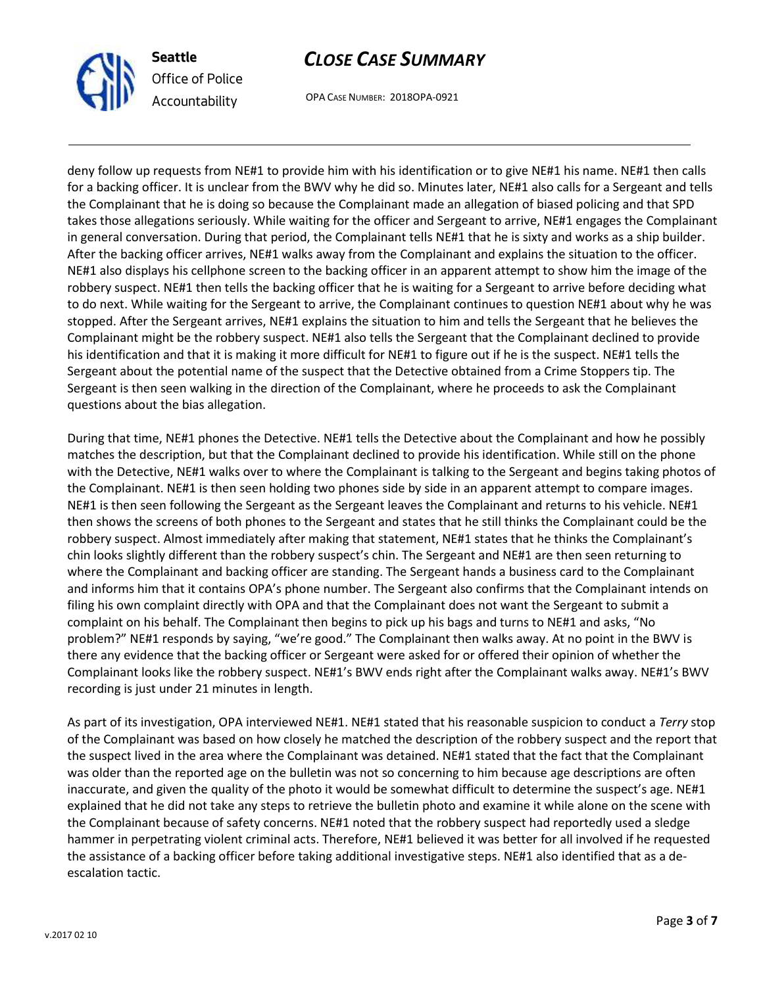

**Seattle** *Office of Police Accountability*

# *CLOSE CASE SUMMARY*

OPA CASE NUMBER: 2018OPA-0921

deny follow up requests from NE#1 to provide him with his identification or to give NE#1 his name. NE#1 then calls for a backing officer. It is unclear from the BWV why he did so. Minutes later, NE#1 also calls for a Sergeant and tells the Complainant that he is doing so because the Complainant made an allegation of biased policing and that SPD takes those allegations seriously. While waiting for the officer and Sergeant to arrive, NE#1 engages the Complainant in general conversation. During that period, the Complainant tells NE#1 that he is sixty and works as a ship builder. After the backing officer arrives, NE#1 walks away from the Complainant and explains the situation to the officer. NE#1 also displays his cellphone screen to the backing officer in an apparent attempt to show him the image of the robbery suspect. NE#1 then tells the backing officer that he is waiting for a Sergeant to arrive before deciding what to do next. While waiting for the Sergeant to arrive, the Complainant continues to question NE#1 about why he was stopped. After the Sergeant arrives, NE#1 explains the situation to him and tells the Sergeant that he believes the Complainant might be the robbery suspect. NE#1 also tells the Sergeant that the Complainant declined to provide his identification and that it is making it more difficult for NE#1 to figure out if he is the suspect. NE#1 tells the Sergeant about the potential name of the suspect that the Detective obtained from a Crime Stoppers tip. The Sergeant is then seen walking in the direction of the Complainant, where he proceeds to ask the Complainant questions about the bias allegation.

During that time, NE#1 phones the Detective. NE#1 tells the Detective about the Complainant and how he possibly matches the description, but that the Complainant declined to provide his identification. While still on the phone with the Detective, NE#1 walks over to where the Complainant is talking to the Sergeant and begins taking photos of the Complainant. NE#1 is then seen holding two phones side by side in an apparent attempt to compare images. NE#1 is then seen following the Sergeant as the Sergeant leaves the Complainant and returns to his vehicle. NE#1 then shows the screens of both phones to the Sergeant and states that he still thinks the Complainant could be the robbery suspect. Almost immediately after making that statement, NE#1 states that he thinks the Complainant's chin looks slightly different than the robbery suspect's chin. The Sergeant and NE#1 are then seen returning to where the Complainant and backing officer are standing. The Sergeant hands a business card to the Complainant and informs him that it contains OPA's phone number. The Sergeant also confirms that the Complainant intends on filing his own complaint directly with OPA and that the Complainant does not want the Sergeant to submit a complaint on his behalf. The Complainant then begins to pick up his bags and turns to NE#1 and asks, "No problem?" NE#1 responds by saying, "we're good." The Complainant then walks away. At no point in the BWV is there any evidence that the backing officer or Sergeant were asked for or offered their opinion of whether the Complainant looks like the robbery suspect. NE#1's BWV ends right after the Complainant walks away. NE#1's BWV recording is just under 21 minutes in length.

As part of its investigation, OPA interviewed NE#1. NE#1 stated that his reasonable suspicion to conduct a *Terry* stop of the Complainant was based on how closely he matched the description of the robbery suspect and the report that the suspect lived in the area where the Complainant was detained. NE#1 stated that the fact that the Complainant was older than the reported age on the bulletin was not so concerning to him because age descriptions are often inaccurate, and given the quality of the photo it would be somewhat difficult to determine the suspect's age. NE#1 explained that he did not take any steps to retrieve the bulletin photo and examine it while alone on the scene with the Complainant because of safety concerns. NE#1 noted that the robbery suspect had reportedly used a sledge hammer in perpetrating violent criminal acts. Therefore, NE#1 believed it was better for all involved if he requested the assistance of a backing officer before taking additional investigative steps. NE#1 also identified that as a deescalation tactic.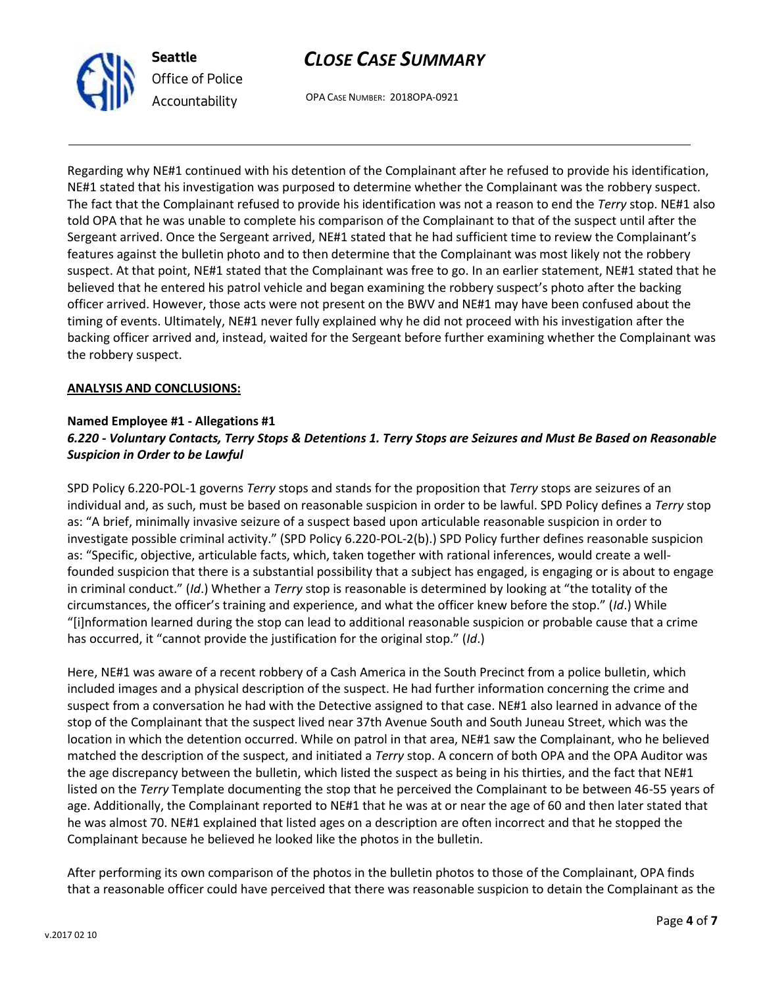

# *CLOSE CASE SUMMARY*

OPA CASE NUMBER: 2018OPA-0921

Regarding why NE#1 continued with his detention of the Complainant after he refused to provide his identification, NE#1 stated that his investigation was purposed to determine whether the Complainant was the robbery suspect. The fact that the Complainant refused to provide his identification was not a reason to end the *Terry* stop. NE#1 also told OPA that he was unable to complete his comparison of the Complainant to that of the suspect until after the Sergeant arrived. Once the Sergeant arrived, NE#1 stated that he had sufficient time to review the Complainant's features against the bulletin photo and to then determine that the Complainant was most likely not the robbery suspect. At that point, NE#1 stated that the Complainant was free to go. In an earlier statement, NE#1 stated that he believed that he entered his patrol vehicle and began examining the robbery suspect's photo after the backing officer arrived. However, those acts were not present on the BWV and NE#1 may have been confused about the timing of events. Ultimately, NE#1 never fully explained why he did not proceed with his investigation after the backing officer arrived and, instead, waited for the Sergeant before further examining whether the Complainant was the robbery suspect.

### **ANALYSIS AND CONCLUSIONS:**

### **Named Employee #1 - Allegations #1**

# *6.220 - Voluntary Contacts, Terry Stops & Detentions 1. Terry Stops are Seizures and Must Be Based on Reasonable Suspicion in Order to be Lawful*

SPD Policy 6.220-POL-1 governs *Terry* stops and stands for the proposition that *Terry* stops are seizures of an individual and, as such, must be based on reasonable suspicion in order to be lawful. SPD Policy defines a *Terry* stop as: "A brief, minimally invasive seizure of a suspect based upon articulable reasonable suspicion in order to investigate possible criminal activity." (SPD Policy 6.220-POL-2(b).) SPD Policy further defines reasonable suspicion as: "Specific, objective, articulable facts, which, taken together with rational inferences, would create a wellfounded suspicion that there is a substantial possibility that a subject has engaged, is engaging or is about to engage in criminal conduct." (*Id*.) Whether a *Terry* stop is reasonable is determined by looking at "the totality of the circumstances, the officer's training and experience, and what the officer knew before the stop." (*Id*.) While "[i]nformation learned during the stop can lead to additional reasonable suspicion or probable cause that a crime has occurred, it "cannot provide the justification for the original stop." (*Id*.)

Here, NE#1 was aware of a recent robbery of a Cash America in the South Precinct from a police bulletin, which included images and a physical description of the suspect. He had further information concerning the crime and suspect from a conversation he had with the Detective assigned to that case. NE#1 also learned in advance of the stop of the Complainant that the suspect lived near 37th Avenue South and South Juneau Street, which was the location in which the detention occurred. While on patrol in that area, NE#1 saw the Complainant, who he believed matched the description of the suspect, and initiated a *Terry* stop. A concern of both OPA and the OPA Auditor was the age discrepancy between the bulletin, which listed the suspect as being in his thirties, and the fact that NE#1 listed on the *Terry* Template documenting the stop that he perceived the Complainant to be between 46-55 years of age. Additionally, the Complainant reported to NE#1 that he was at or near the age of 60 and then later stated that he was almost 70. NE#1 explained that listed ages on a description are often incorrect and that he stopped the Complainant because he believed he looked like the photos in the bulletin.

After performing its own comparison of the photos in the bulletin photos to those of the Complainant, OPA finds that a reasonable officer could have perceived that there was reasonable suspicion to detain the Complainant as the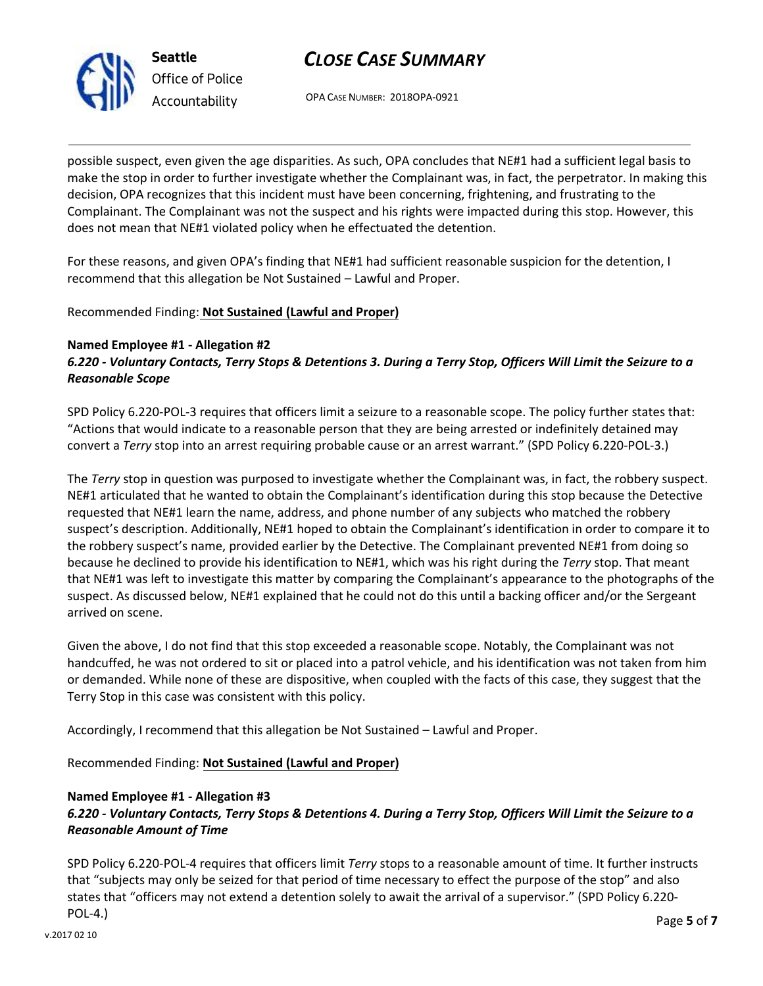

**Seattle** *Office of Police Accountability*

# *CLOSE CASE SUMMARY*

OPA CASE NUMBER: 2018OPA-0921

possible suspect, even given the age disparities. As such, OPA concludes that NE#1 had a sufficient legal basis to make the stop in order to further investigate whether the Complainant was, in fact, the perpetrator. In making this decision, OPA recognizes that this incident must have been concerning, frightening, and frustrating to the Complainant. The Complainant was not the suspect and his rights were impacted during this stop. However, this does not mean that NE#1 violated policy when he effectuated the detention.

For these reasons, and given OPA's finding that NE#1 had sufficient reasonable suspicion for the detention, I recommend that this allegation be Not Sustained – Lawful and Proper.

## Recommended Finding: **Not Sustained (Lawful and Proper)**

## **Named Employee #1 - Allegation #2**

*6.220 - Voluntary Contacts, Terry Stops & Detentions 3. During a Terry Stop, Officers Will Limit the Seizure to a Reasonable Scope* 

SPD Policy 6.220-POL-3 requires that officers limit a seizure to a reasonable scope. The policy further states that: "Actions that would indicate to a reasonable person that they are being arrested or indefinitely detained may convert a *Terry* stop into an arrest requiring probable cause or an arrest warrant." (SPD Policy 6.220-POL-3.)

The *Terry* stop in question was purposed to investigate whether the Complainant was, in fact, the robbery suspect. NE#1 articulated that he wanted to obtain the Complainant's identification during this stop because the Detective requested that NE#1 learn the name, address, and phone number of any subjects who matched the robbery suspect's description. Additionally, NE#1 hoped to obtain the Complainant's identification in order to compare it to the robbery suspect's name, provided earlier by the Detective. The Complainant prevented NE#1 from doing so because he declined to provide his identification to NE#1, which was his right during the *Terry* stop. That meant that NE#1 was left to investigate this matter by comparing the Complainant's appearance to the photographs of the suspect. As discussed below, NE#1 explained that he could not do this until a backing officer and/or the Sergeant arrived on scene.

Given the above, I do not find that this stop exceeded a reasonable scope. Notably, the Complainant was not handcuffed, he was not ordered to sit or placed into a patrol vehicle, and his identification was not taken from him or demanded. While none of these are dispositive, when coupled with the facts of this case, they suggest that the Terry Stop in this case was consistent with this policy.

Accordingly, I recommend that this allegation be Not Sustained – Lawful and Proper.

Recommended Finding: **Not Sustained (Lawful and Proper)**

### **Named Employee #1 - Allegation #3**

*6.220 - Voluntary Contacts, Terry Stops & Detentions 4. During a Terry Stop, Officers Will Limit the Seizure to a Reasonable Amount of Time* 

SPD Policy 6.220-POL-4 requires that officers limit *Terry* stops to a reasonable amount of time. It further instructs that "subjects may only be seized for that period of time necessary to effect the purpose of the stop" and also states that "officers may not extend a detention solely to await the arrival of a supervisor." (SPD Policy 6.220- POL-4.)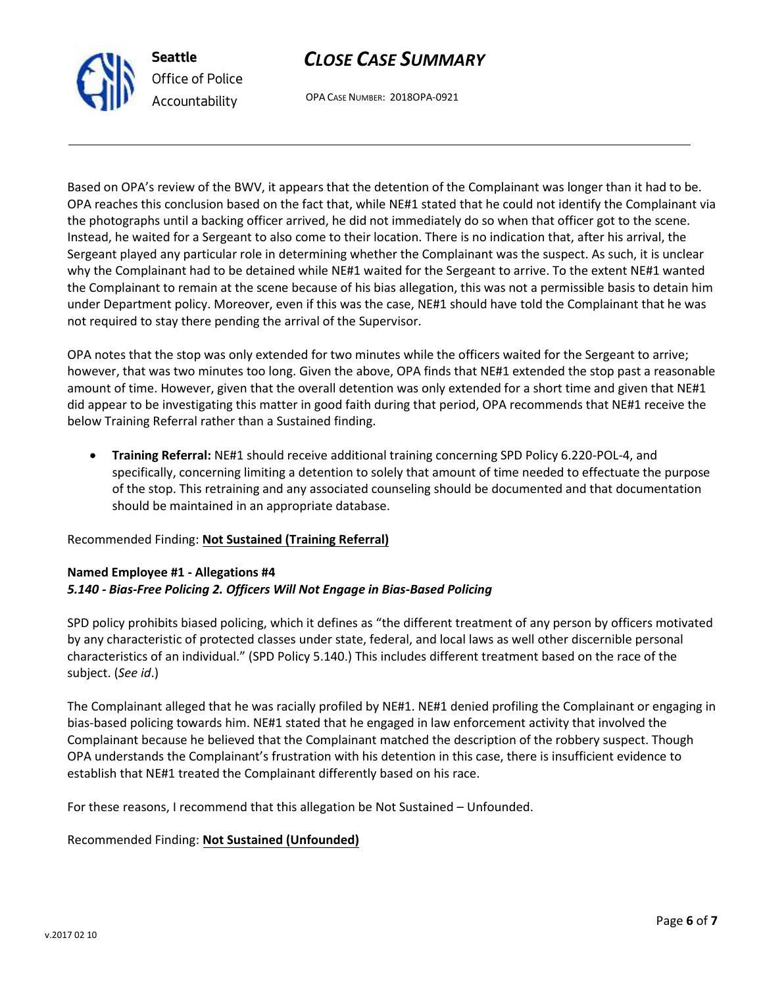

# *CLOSE CASE SUMMARY*

OPA CASE NUMBER: 2018OPA-0921

Based on OPA's review of the BWV, it appears that the detention of the Complainant was longer than it had to be. OPA reaches this conclusion based on the fact that, while NE#1 stated that he could not identify the Complainant via the photographs until a backing officer arrived, he did not immediately do so when that officer got to the scene. Instead, he waited for a Sergeant to also come to their location. There is no indication that, after his arrival, the Sergeant played any particular role in determining whether the Complainant was the suspect. As such, it is unclear why the Complainant had to be detained while NE#1 waited for the Sergeant to arrive. To the extent NE#1 wanted the Complainant to remain at the scene because of his bias allegation, this was not a permissible basis to detain him under Department policy. Moreover, even if this was the case, NE#1 should have told the Complainant that he was not required to stay there pending the arrival of the Supervisor.

OPA notes that the stop was only extended for two minutes while the officers waited for the Sergeant to arrive; however, that was two minutes too long. Given the above, OPA finds that NE#1 extended the stop past a reasonable amount of time. However, given that the overall detention was only extended for a short time and given that NE#1 did appear to be investigating this matter in good faith during that period, OPA recommends that NE#1 receive the below Training Referral rather than a Sustained finding.

• **Training Referral:** NE#1 should receive additional training concerning SPD Policy 6.220-POL-4, and specifically, concerning limiting a detention to solely that amount of time needed to effectuate the purpose of the stop. This retraining and any associated counseling should be documented and that documentation should be maintained in an appropriate database.

## Recommended Finding: **Not Sustained (Training Referral)**

## **Named Employee #1 - Allegations #4**  *5.140 - Bias-Free Policing 2. Officers Will Not Engage in Bias-Based Policing*

SPD policy prohibits biased policing, which it defines as "the different treatment of any person by officers motivated by any characteristic of protected classes under state, federal, and local laws as well other discernible personal characteristics of an individual." (SPD Policy 5.140.) This includes different treatment based on the race of the subject. (*See id*.)

The Complainant alleged that he was racially profiled by NE#1. NE#1 denied profiling the Complainant or engaging in bias-based policing towards him. NE#1 stated that he engaged in law enforcement activity that involved the Complainant because he believed that the Complainant matched the description of the robbery suspect. Though OPA understands the Complainant's frustration with his detention in this case, there is insufficient evidence to establish that NE#1 treated the Complainant differently based on his race.

For these reasons, I recommend that this allegation be Not Sustained – Unfounded.

## Recommended Finding: **Not Sustained (Unfounded)**